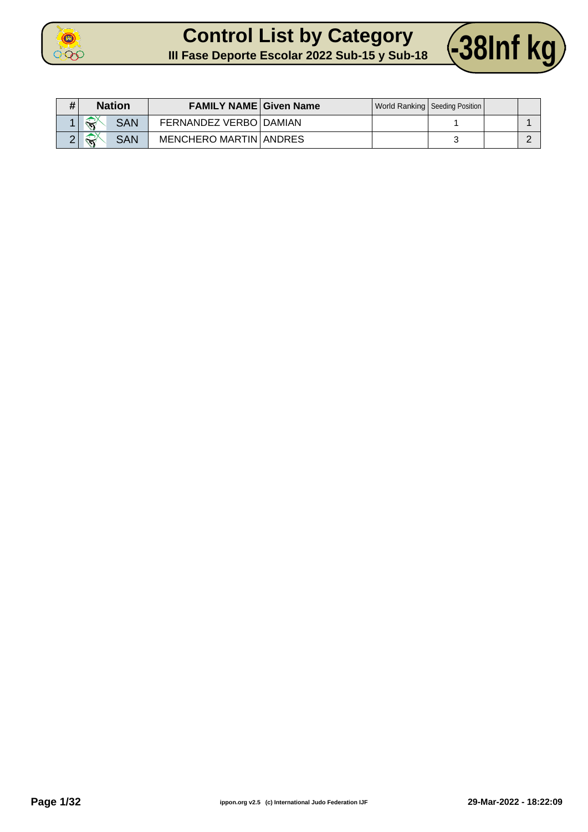

#### **Control List by Category Control List by Category 438Inf kg**



| # | <b>Nation</b>                        | <b>FAMILY NAME Given Name</b> |  | World Ranking   Seeding Position |  |
|---|--------------------------------------|-------------------------------|--|----------------------------------|--|
|   | $\widehat{\mathbf{x}}$<br><b>SAN</b> | FERNANDEZ VERBO   DAMIAN      |  |                                  |  |
|   | ́<br><b>SAN</b><br>$\sum_{i=1}^{n}$  | <b>MENCHERO MARTIN ANDRES</b> |  |                                  |  |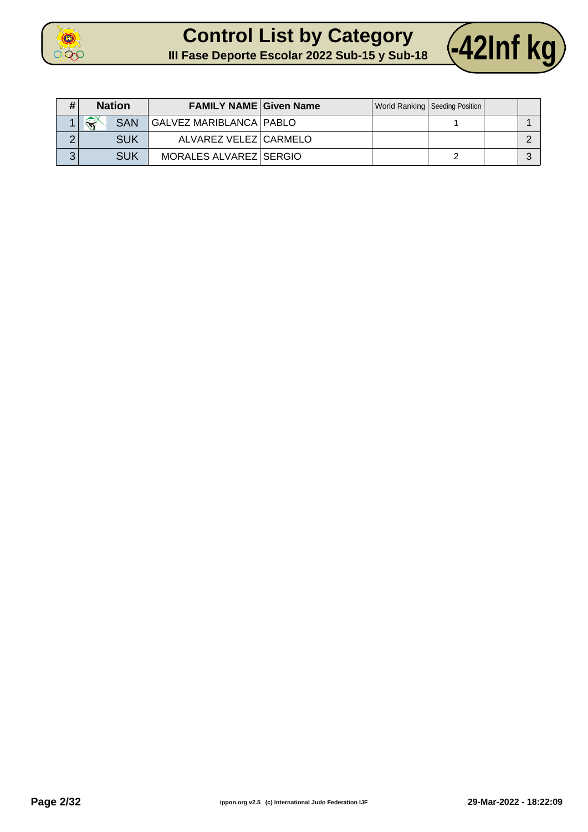

#### **Control List by Category CONTOL List by Category** 42Inf kg



| # | <b>Nation</b>               | <b>FAMILY NAME Given Name</b> |  | World Ranking   Seeding Position |  |
|---|-----------------------------|-------------------------------|--|----------------------------------|--|
|   | $\rightarrow$<br><b>SAN</b> | GALVEZ MARIBLANCA   PABLO     |  |                                  |  |
| ⌒ | SUK                         | ALVAREZ VELEZ CARMELO         |  |                                  |  |
| 3 | <b>SUK</b>                  | MORALES ALVAREZ SERGIO        |  |                                  |  |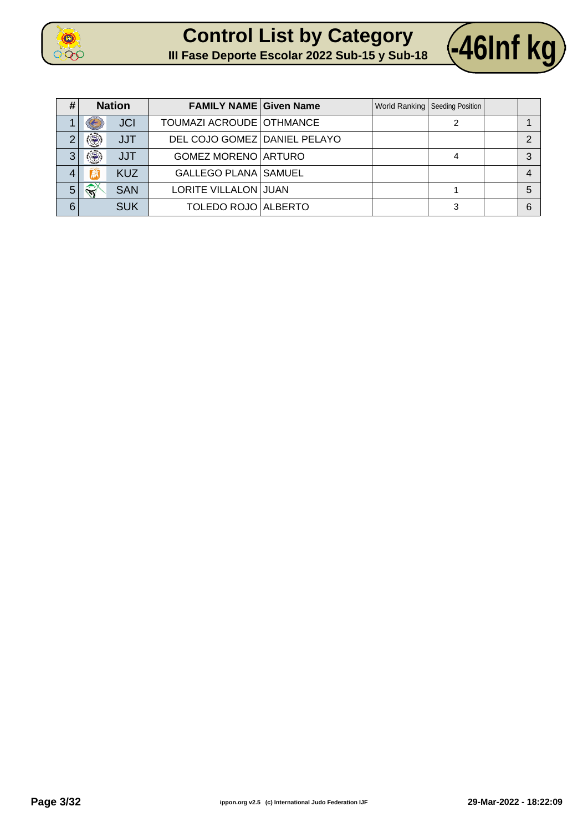





| # |                              | <b>Nation</b> | <b>FAMILY NAME Given Name</b> |  | World Ranking   Seeding Position |   |
|---|------------------------------|---------------|-------------------------------|--|----------------------------------|---|
|   |                              | <b>JCI</b>    | TOUMAZI ACROUDE OTHMANCE      |  |                                  |   |
| ⌒ | $\langle \mathbf{R} \rangle$ | <b>JJT</b>    | DEL COJO GOMEZ DANIEL PELAYO  |  |                                  |   |
| 3 | $\ddot{\circledast}$         | <b>JJT</b>    | GOMEZ MORENO ARTURO           |  |                                  | 2 |
| 4 |                              | <b>KUZ</b>    | <b>GALLEGO PLANA SAMUEL</b>   |  |                                  |   |
| 5 | $\widehat{\mathbf{x}}$       | <b>SAN</b>    | LORITE VILLALON JUAN          |  |                                  | 5 |
| 6 |                              | <b>SUK</b>    | TOLEDO ROJO ALBERTO           |  | 3                                | 6 |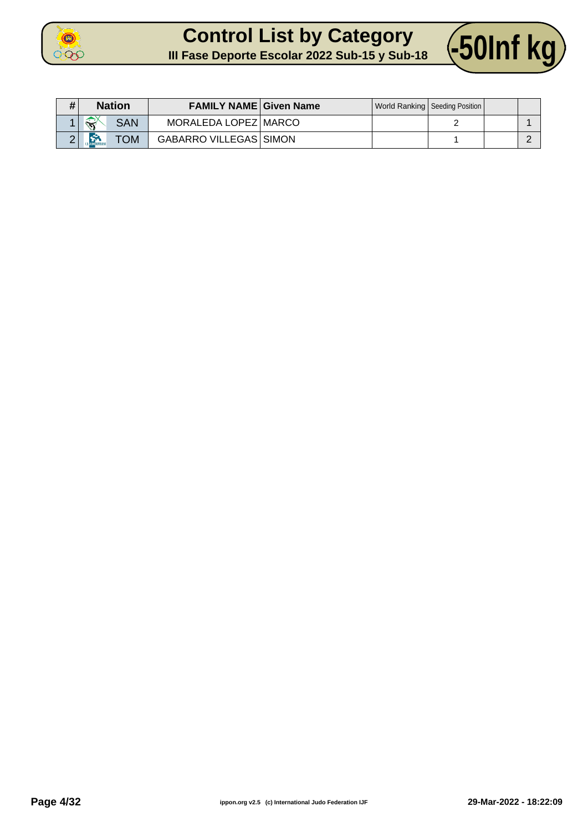

## **Control List by Category**



| # | <b>Nation</b>                     | <b>FAMILY NAME Given Name</b> |  | World Ranking   Seeding Position |  |
|---|-----------------------------------|-------------------------------|--|----------------------------------|--|
|   | ЖY<br><b>SAN</b><br>$\mathcal{L}$ | MORALEDA LOPEZ   MARCO        |  |                                  |  |
|   | <b>La Second</b><br><b>NOT</b>    | <b>GABARRO VILLEGAS SIMON</b> |  |                                  |  |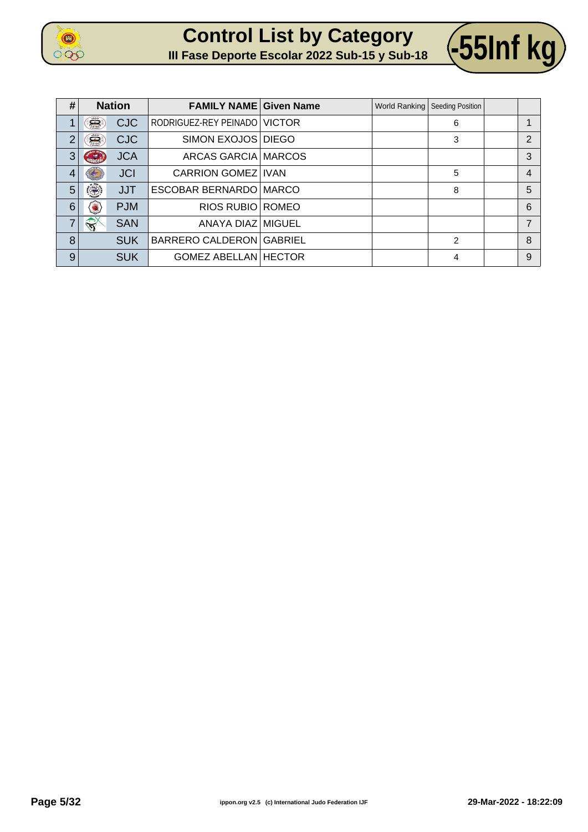





| #              |                              | <b>Nation</b> | <b>FAMILY NAME Given Name</b>  |  | World Ranking   Seeding Position |                |
|----------------|------------------------------|---------------|--------------------------------|--|----------------------------------|----------------|
|                | $\sum_{i=1}^{n}$             | <b>CJC</b>    | RODRIGUEZ-REY PEINADO   VICTOR |  | 6                                |                |
| $\overline{2}$ | Š                            | <b>CJC</b>    | SIMON EXOJOS DIEGO             |  | 3                                | $\overline{2}$ |
| 3              | S                            | <b>JCA</b>    | ARCAS GARCIA MARCOS            |  |                                  | 3              |
| $\overline{4}$ |                              | <b>JCI</b>    | <b>CARRION GOMEZ IVAN</b>      |  | 5                                | 4              |
| 5              | $\langle \mathbf{R} \rangle$ | <b>JJT</b>    | ESCOBAR BERNARDO MARCO         |  | 8                                | 5              |
| 6              |                              | <b>PJM</b>    | RIOS RUBIO ROMEO               |  |                                  | 6              |
| $\overline{7}$ | $\sqrt{2}$                   | <b>SAN</b>    | ANAYA DIAZ MIGUEL              |  |                                  | 7              |
| 8              |                              | <b>SUK</b>    | BARRERO CALDERON GABRIEL       |  | $\overline{2}$                   | 8              |
| 9              |                              | <b>SUK</b>    | <b>GOMEZ ABELLAN HECTOR</b>    |  | 4                                | 9              |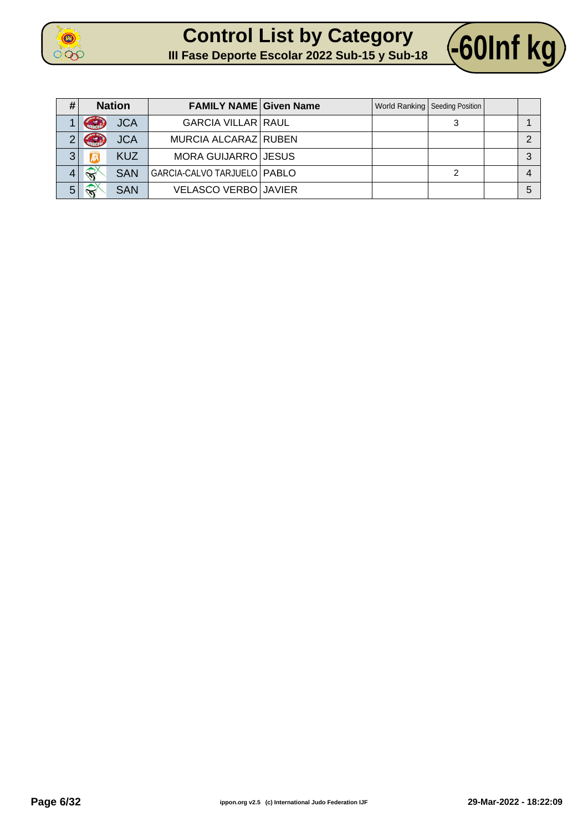



| # | <b>Nation</b>                        | <b>FAMILY NAME Given Name</b> |  | World Ranking   Seeding Position |   |
|---|--------------------------------------|-------------------------------|--|----------------------------------|---|
|   | <b>JCA</b>                           | <b>GARCIA VILLAR RAUL</b>     |  |                                  |   |
|   | <b>JCA</b><br>$\frac{1}{2}$          | MURCIA ALCARAZ RUBEN          |  |                                  |   |
| 3 | <b>KUZ</b>                           | MORA GUIJARRO JESUS           |  |                                  | ົ |
|   | $\widehat{\mathbf{N}}$<br><b>SAN</b> | GARCIA-CALVO TARJUELO   PABLO |  |                                  |   |
| 5 | $\widehat{\mathbf{x}}$<br><b>SAN</b> | <b>VELASCO VERBO JAVIER</b>   |  |                                  | 5 |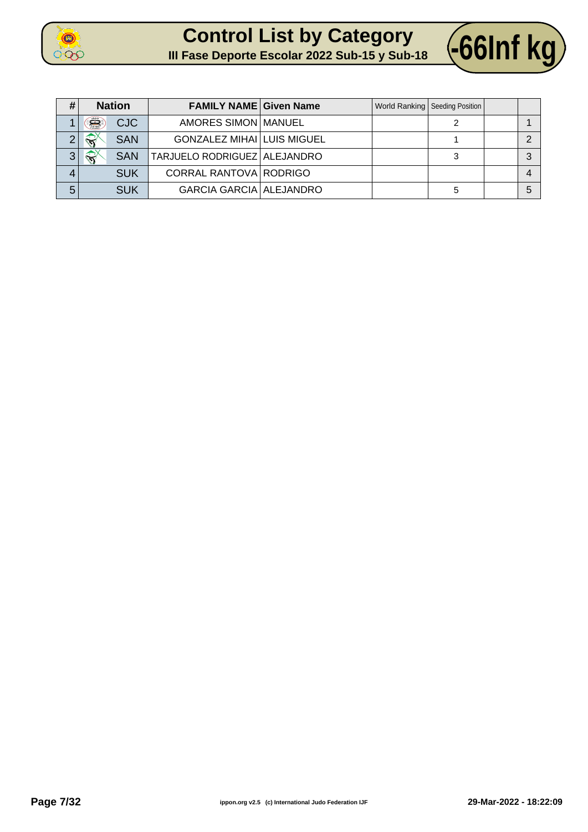



| # |                                                                                    | <b>Nation</b> | <b>FAMILY NAME Given Name</b>     |  | World Ranking   Seeding Position |  |
|---|------------------------------------------------------------------------------------|---------------|-----------------------------------|--|----------------------------------|--|
|   | Ë                                                                                  | <b>CJC</b>    | AMORES SIMON MANUEL               |  |                                  |  |
| ◠ | $\leftrightarrow$                                                                  | <b>SAN</b>    | <b>GONZALEZ MIHAI LUIS MIGUEL</b> |  |                                  |  |
| 3 | $\left\langle \left\langle \left\langle \right\rangle \right\rangle \right\rangle$ | <b>SAN</b>    | TARJUELO RODRIGUEZ ALEJANDRO      |  |                                  |  |
| 4 |                                                                                    | <b>SUK</b>    | CORRAL RANTOVA RODRIGO            |  |                                  |  |
| 5 |                                                                                    | <b>SUK</b>    | <b>GARCIA GARCIA ALEJANDRO</b>    |  | 5                                |  |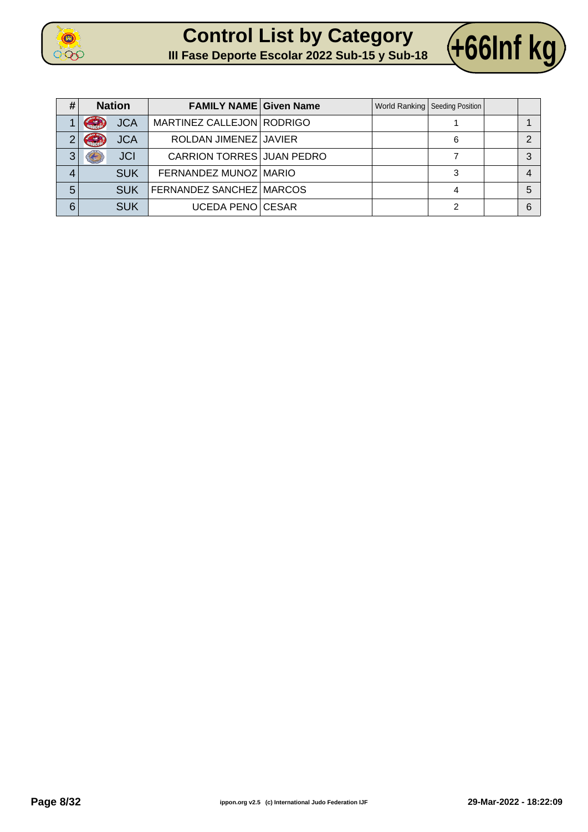





| # | <b>Nation</b>                     | <b>FAMILY NAME Given Name</b>    |  | World Ranking   Seeding Position |   |
|---|-----------------------------------|----------------------------------|--|----------------------------------|---|
|   | <b>JCA</b><br><b>Allhanger</b>    | MARTINEZ CALLEJON   RODRIGO      |  |                                  |   |
| າ | <b>Price Street</b><br><b>JCA</b> | ROLDAN JIMENEZ JAVIER            |  | 6                                |   |
| 3 | <b>JCI</b>                        | <b>CARRION TORRES JUAN PEDRO</b> |  |                                  |   |
| 4 | <b>SUK</b>                        | FERNANDEZ MUNOZ MARIO            |  | 3                                | 4 |
| 5 | <b>SUK</b>                        | FERNANDEZ SANCHEZ MARCOS         |  |                                  | 5 |
| 6 | <b>SUK</b>                        | <b>UCEDA PENO CESAR</b>          |  | っ                                | 6 |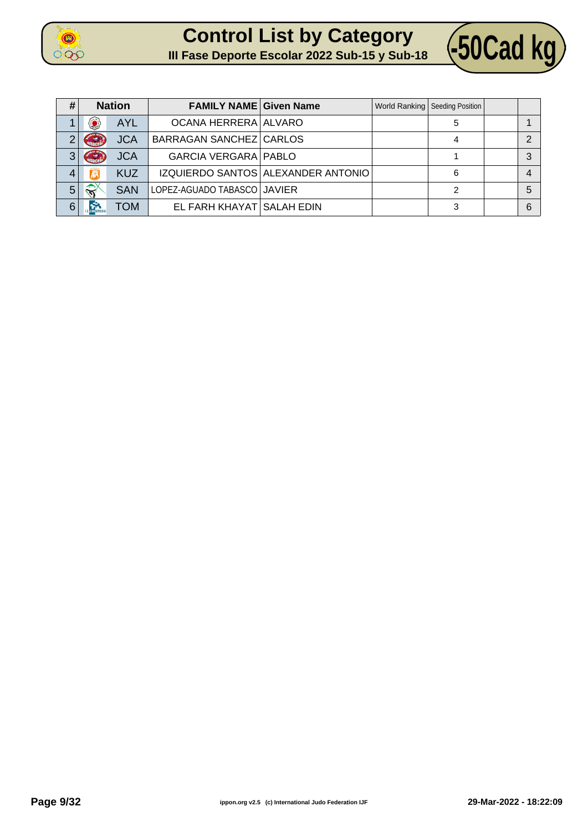



| #              |                           | <b>Nation</b> | <b>FAMILY NAME Given Name</b> |                                    | World Ranking   Seeding Position |   |
|----------------|---------------------------|---------------|-------------------------------|------------------------------------|----------------------------------|---|
|                | $\langle \bullet \rangle$ | <b>AYL</b>    | OCANA HERRERA ALVARO          |                                    | 5                                |   |
| $\overline{2}$ | <b>CONTRACTOR</b>         | <b>JCA</b>    | BARRAGAN SANCHEZ CARLOS       |                                    |                                  | ◠ |
| 3              | Grand                     | <b>JCA</b>    | <b>GARCIA VERGARA   PABLO</b> |                                    |                                  | 3 |
| 4              | R                         | <b>KUZ</b>    |                               | IZQUIERDO SANTOS ALEXANDER ANTONIO | 6                                | 4 |
| 5              | $\mathbb{R}$              | <b>SAN</b>    | LOPEZ-AGUADO TABASCO JAVIER   |                                    |                                  | 5 |
| 6              | m                         | TOM           | EL FARH KHAYAT SALAH EDIN     |                                    | 3                                | 6 |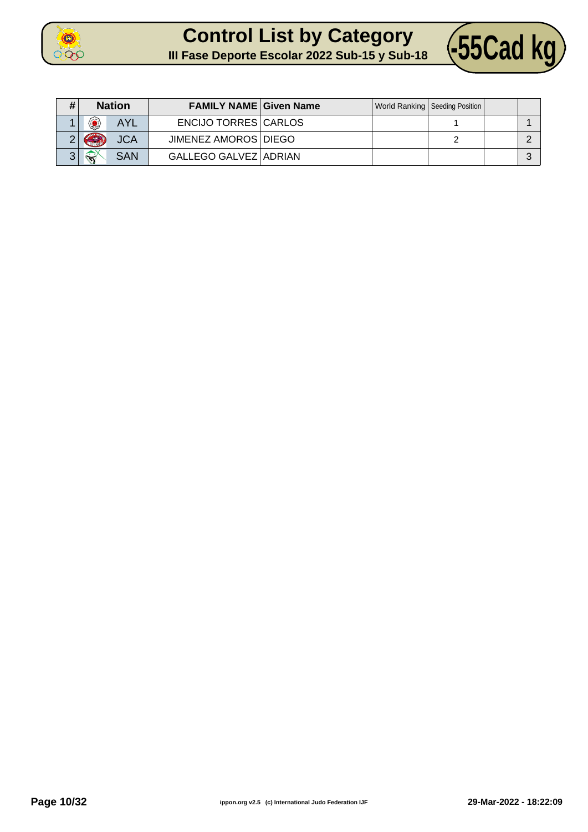

## **Control List by Category Control List by Category** (55Cad kg)



| #            | <b>Nation</b>          |            | <b>FAMILY NAME Given Name</b> |  | World Ranking   Seeding Position |  |
|--------------|------------------------|------------|-------------------------------|--|----------------------------------|--|
|              | 0                      | <b>AYL</b> | ENCIJO TORRES CARLOS          |  |                                  |  |
|              | GRI                    | <b>JCA</b> | JIMENEZ AMOROS   DIEGO        |  |                                  |  |
| $\mathbf{z}$ | $\widehat{\mathbf{x}}$ | <b>SAN</b> | GALLEGO GALVEZ ADRIAN         |  |                                  |  |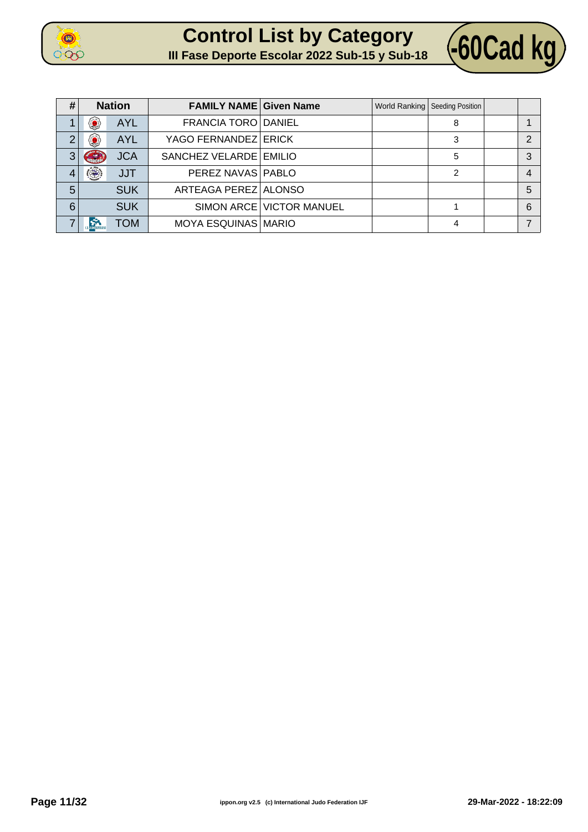





| # | <b>Nation</b> |            | <b>FAMILY NAME Given Name</b> |                          | World Ranking   Seeding Position |                |
|---|---------------|------------|-------------------------------|--------------------------|----------------------------------|----------------|
|   | 49            | <b>AYL</b> | FRANCIA TORO DANIEL           |                          | 8                                | 1              |
|   | $\bullet$     | <b>AYL</b> | YAGO FERNANDEZ ERICK          |                          | 3                                | 2              |
| 3 |               | <b>JCA</b> | SANCHEZ VELARDE EMILIO        |                          | 5                                | 3              |
|   | ۲             | <b>JJT</b> | PEREZ NAVAS   PABLO           |                          | 2                                | $\overline{4}$ |
| 5 |               | <b>SUK</b> | ARTEAGA PEREZ ALONSO          |                          |                                  | 5              |
| 6 |               | <b>SUK</b> |                               | SIMON ARCE VICTOR MANUEL |                                  | 6              |
|   |               | <b>TOM</b> | MOYA ESQUINAS MARIO           |                          | 4                                | $\overline{7}$ |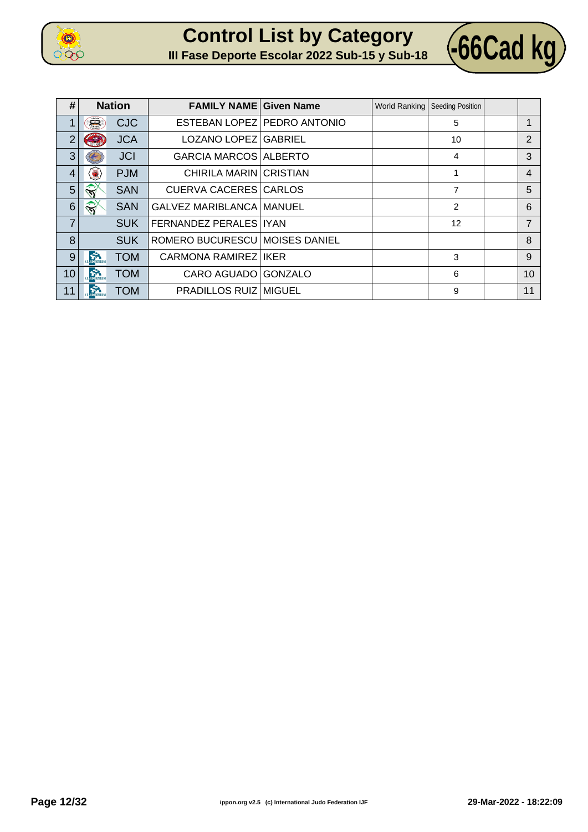

**Control List by Category Control List by Category 466Cad kg** 



| #              |                        | <b>Nation</b> | <b>FAMILY NAME Given Name</b>  |                             | World Ranking   Seeding Position |                |
|----------------|------------------------|---------------|--------------------------------|-----------------------------|----------------------------------|----------------|
| 1              | Ê                      | <b>CJC</b>    |                                | ESTEBAN LOPEZ PEDRO ANTONIO | 5                                |                |
| $\overline{2}$ | <b>Contract</b>        | <b>JCA</b>    | LOZANO LOPEZ GABRIEL           |                             | 10                               | $\overline{2}$ |
| 3              |                        | <b>JCI</b>    | <b>GARCIA MARCOS ALBERTO</b>   |                             | 4                                | 3              |
| 4              | $\bullet$              | <b>PJM</b>    | <b>CHIRILA MARIN CRISTIAN</b>  |                             |                                  | 4              |
| 5              | $\widehat{\mathbf{y}}$ | <b>SAN</b>    | <b>CUERVA CACERES CARLOS</b>   |                             | 7                                | 5              |
| 6              | $\widehat{\mathbf{y}}$ | <b>SAN</b>    | GALVEZ MARIBLANCA MANUEL       |                             | 2                                | 6              |
| $\overline{7}$ |                        | <b>SUK</b>    | FERNANDEZ PERALES   IYAN       |                             | 12                               | $\overline{7}$ |
| 8              |                        | <b>SUK</b>    | ROMERO BUCURESCU MOISES DANIEL |                             |                                  | 8              |
| 9              | <b>Control</b> Control | <b>TOM</b>    | CARMONA RAMIREZ IKER           |                             | 3                                | 9              |
| 10             | <b>Control</b>         | <b>TOM</b>    | CARO AGUADO GONZALO            |                             | 6                                | 10             |
| 11             | $\sum_{i=1}^{n}$       | <b>TOM</b>    | <b>PRADILLOS RUIZ MIGUEL</b>   |                             | 9                                | 11             |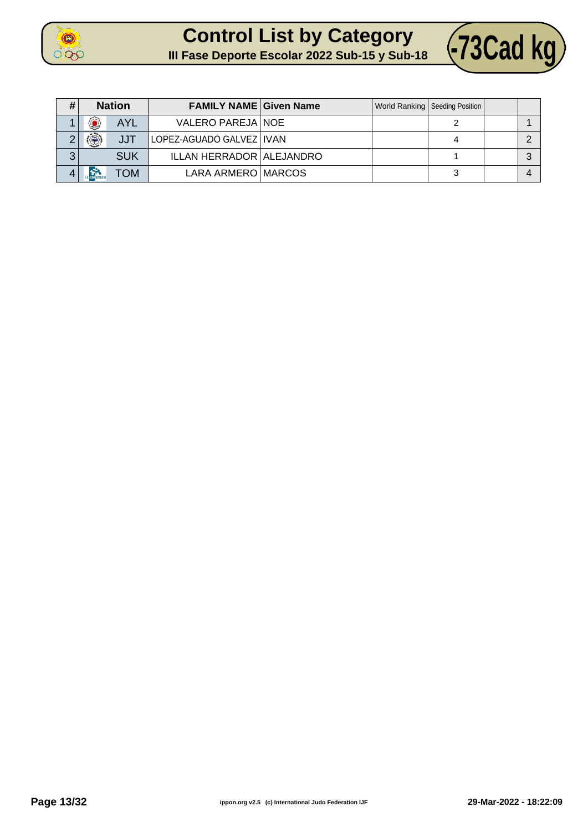

## **Control List by Category CONTROL LIST by Category 473Cad kg**



| #       | <b>Nation</b> |            | <b>FAMILY NAME Given Name</b> |  | World Ranking   Seeding Position |  |
|---------|---------------|------------|-------------------------------|--|----------------------------------|--|
|         | ۵             | <b>AYL</b> | VALERO PAREJA NOE             |  |                                  |  |
|         |               | <b>JJT</b> | LOPEZ-AGUADO GALVEZ   IVAN    |  |                                  |  |
| າ<br>J. |               | <b>SUK</b> | ILLAN HERRADOR ALEJANDRO      |  |                                  |  |
|         |               | TOM        | LARA ARMERO MARCOS            |  | ≏                                |  |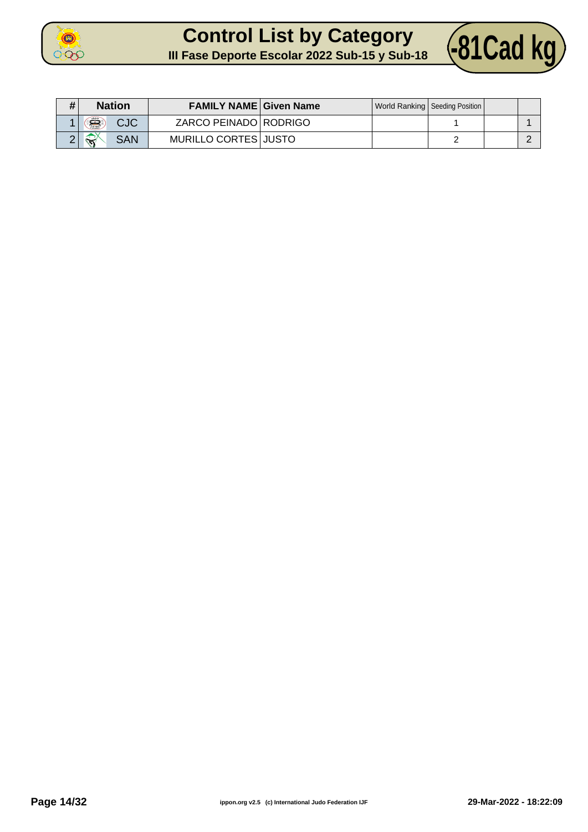

### **Control List by Category Control List by Category 481Cad kg**



| <b>Nation</b>                                    | <b>FAMILY NAME Given Name</b> |  | World Ranking   Seeding Position |  |
|--------------------------------------------------|-------------------------------|--|----------------------------------|--|
| Â,<br><b>CJC</b>                                 | ZARCO PEINADO RODRIGO         |  |                                  |  |
| $\leftrightarrow$<br><b>SAN</b><br>$\mathcal{L}$ | MURILLO CORTES JUSTO          |  |                                  |  |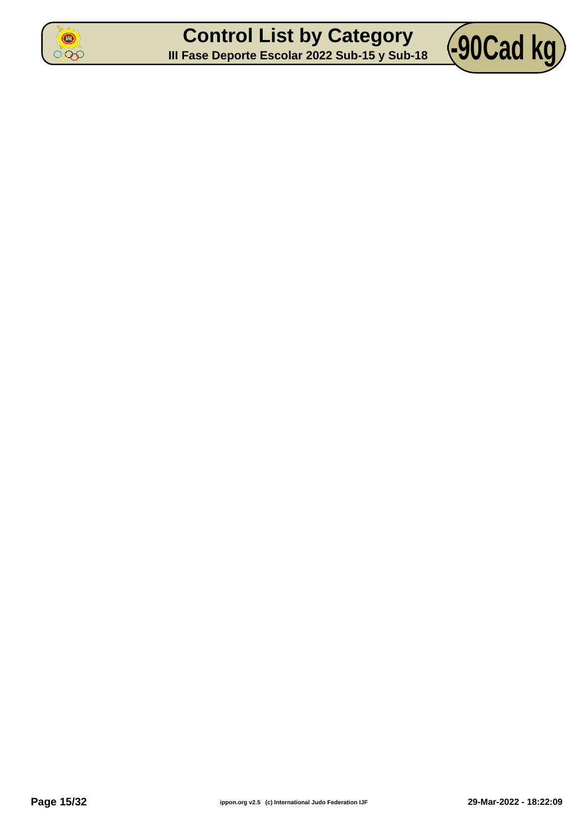

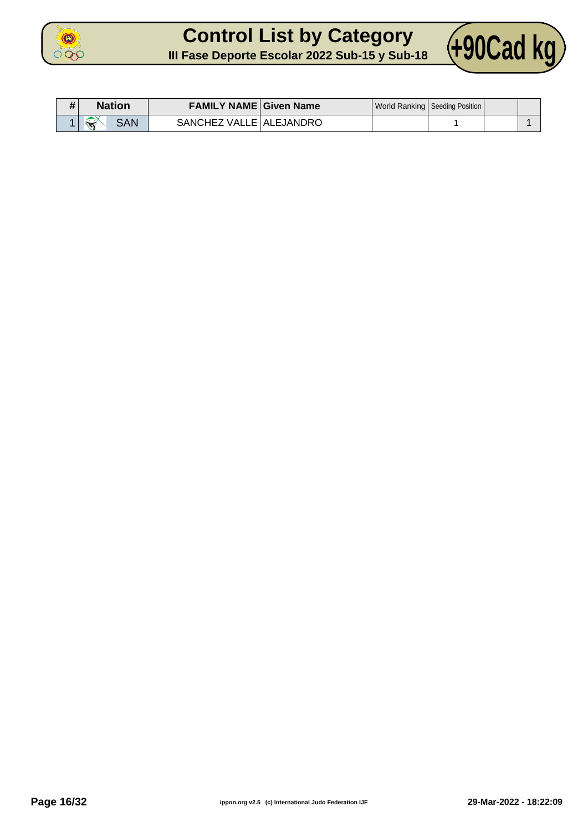

## **Control List by Category Control List by Category** (+90Cad kg)



| # | Nation                                                     | <b>FAMILY NAME Given Name</b> |  | World Ranking   Seeding Position |  |
|---|------------------------------------------------------------|-------------------------------|--|----------------------------------|--|
|   | $\rightarrow$<br><b>SAN</b><br>$\mathcal{P}^{\mathcal{E}}$ | SANCHEZ VALLE   ALEJANDRO     |  |                                  |  |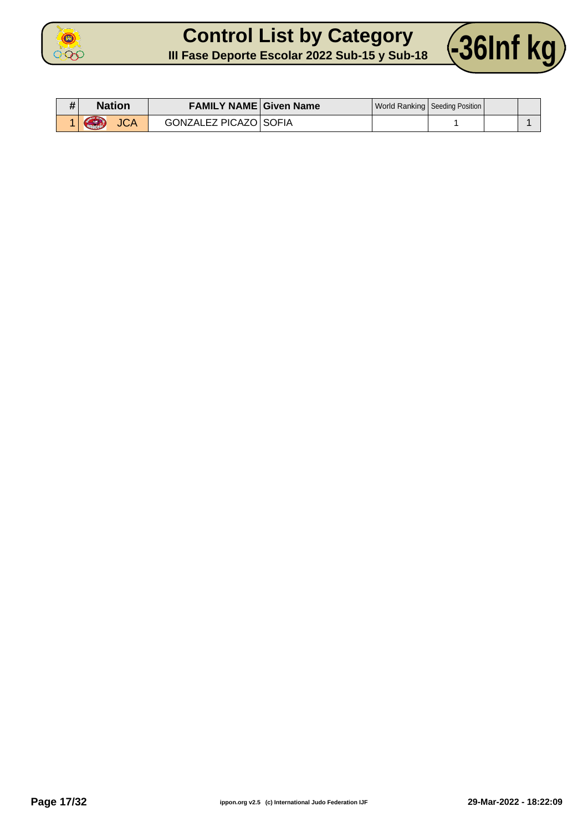

#### **Control List by Category Control List by Category** (36Inf kg)



| # | Nation                        | <b>FAMILY NAME Given Name</b> |  | World Ranking   Seeding Position |  |
|---|-------------------------------|-------------------------------|--|----------------------------------|--|
|   | <b>JCA</b><br><b>Albanete</b> | <b>GONZALEZ PICAZO SOFIA</b>  |  |                                  |  |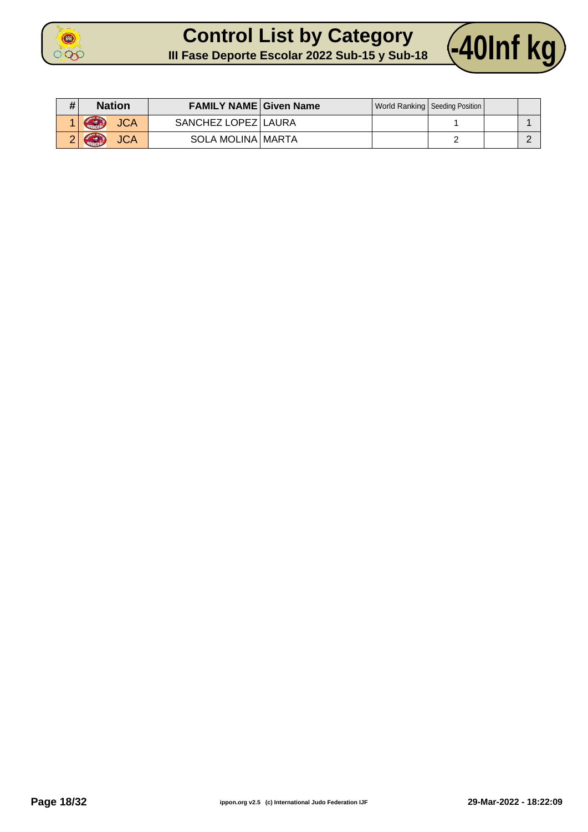

#### **Control List by Category Control List by Category** 40Inf kg



| # | <b>Nation</b>            | <b>FAMILY NAME Given Name</b> |  | World Ranking   Seeding Position |  |
|---|--------------------------|-------------------------------|--|----------------------------------|--|
|   | GR<br><b>JCA</b>         | SANCHEZ LOPEZ LAURA           |  |                                  |  |
|   | Curriculum<br><b>JCA</b> | SOLA MOLINA   MARTA           |  |                                  |  |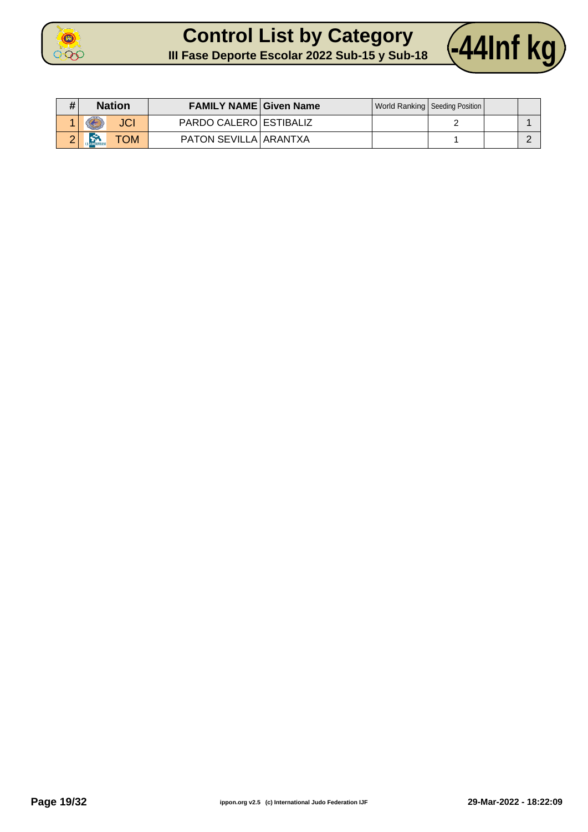

#### **Control List by Category Control List by Category** 44Inf kg



| # | <b>Nation</b> | <b>FAMILY NAME Given Name</b> |  | World Ranking   Seeding Position |  |
|---|---------------|-------------------------------|--|----------------------------------|--|
|   | E             | PARDO CALERO ESTIBALIZ        |  |                                  |  |
| ົ | <b>OM</b>     | PATON SEVILLA ARANTXA         |  |                                  |  |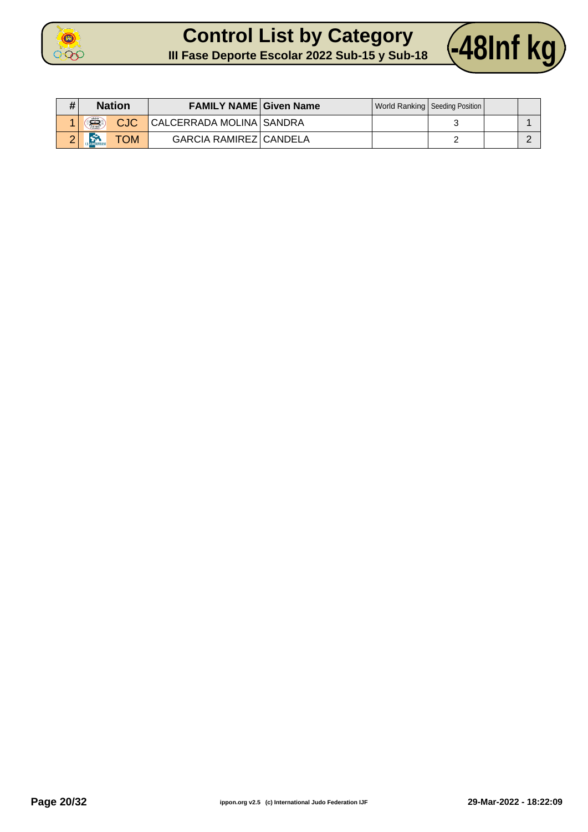

#### **Control List by Category CONTROL LIST by Category 48Inf kg**



| # | <b>Nation</b>                        | <b>FAMILY NAME Given Name</b> |  | World Ranking   Seeding Position |  |
|---|--------------------------------------|-------------------------------|--|----------------------------------|--|
|   | $\widehat{\mathbf{S}}$<br><b>CJC</b> | CALCERRADA MOLINA SANDRA      |  |                                  |  |
|   | متعدد<br><b>TOM</b>                  | <b>GARCIA RAMIREZ CANDELA</b> |  |                                  |  |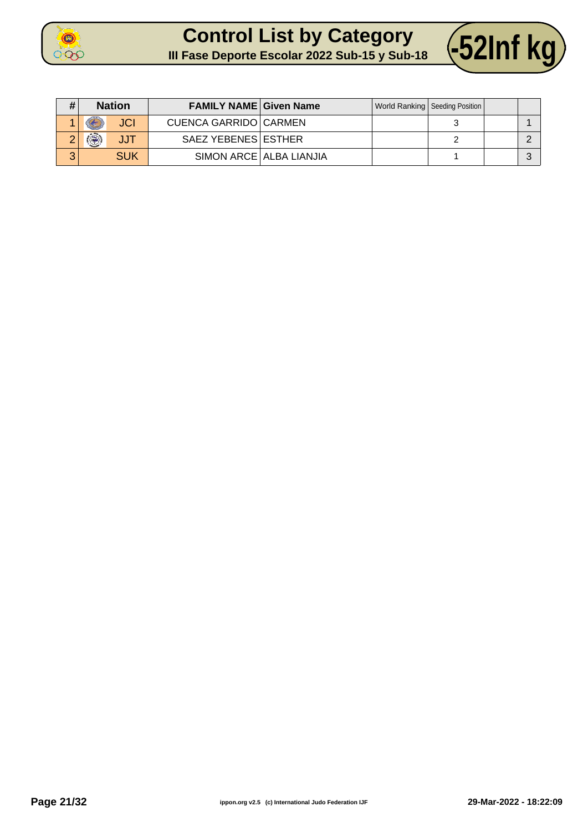

# **Control List by Category**



| III Fase Deporte Escolar 2022 Sub-15 y Sub-18 |  |
|-----------------------------------------------|--|
|-----------------------------------------------|--|

| #             | <b>Nation</b>       | <b>FAMILY NAME Given Name</b> |                         | World Ranking   Seeding Position |  |
|---------------|---------------------|-------------------------------|-------------------------|----------------------------------|--|
|               | <b>JCI</b>          | <b>CUENCA GARRIDO CARMEN</b>  |                         |                                  |  |
| ⌒<br><u>.</u> | $\mathbb{R}$<br>JJT | SAEZ YEBENES ESTHER           |                         |                                  |  |
| ⌒             | SUK                 |                               | SIMON ARCE ALBA LIANJIA |                                  |  |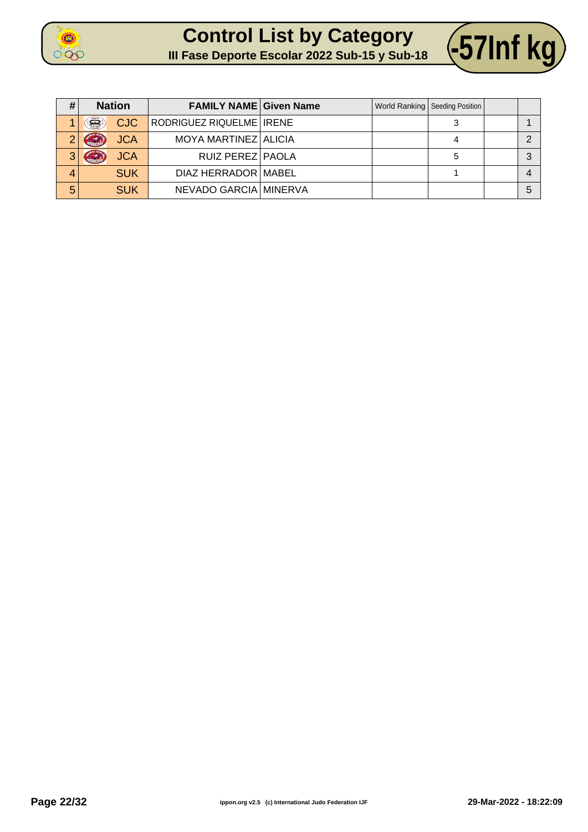





| #              | <b>Nation</b>   | <b>FAMILY NAME Given Name</b> |  | World Ranking   Seeding Position |   |
|----------------|-----------------|-------------------------------|--|----------------------------------|---|
|                | Š<br><b>CJC</b> | RODRIGUEZ RIQUELME   IRENE    |  |                                  |   |
|                | <b>JCA</b>      | MOYA MARTINEZ ALICIA          |  |                                  |   |
| 3 <sub>1</sub> | <b>JCA</b>      | RUIZ PEREZ PAOLA              |  | 5                                |   |
|                | <b>SUK</b>      | DIAZ HERRADOR   MABEL         |  |                                  |   |
| 5              | <b>SUK</b>      | NEVADO GARCIA MINERVA         |  |                                  | 5 |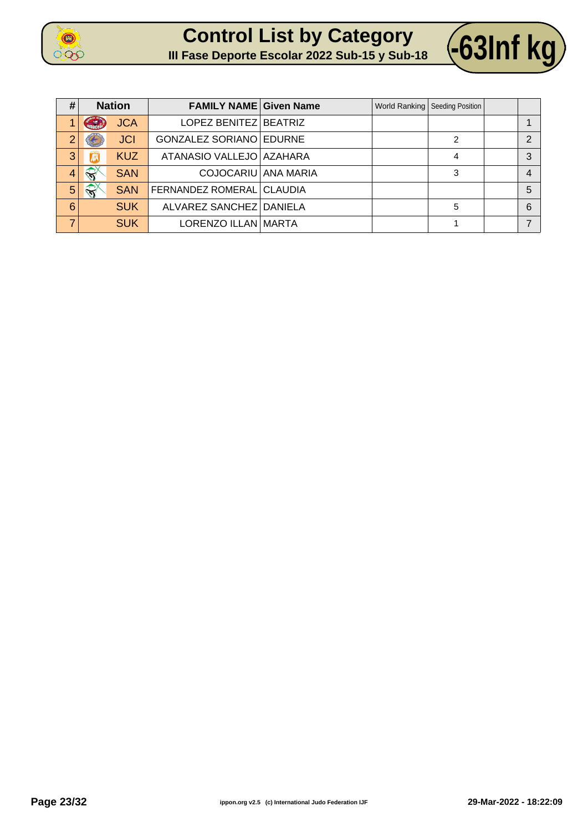





| #              | <b>Nation</b>     |            | <b>FAMILY NAME Given Name</b> |  | World Ranking   Seeding Position |                |
|----------------|-------------------|------------|-------------------------------|--|----------------------------------|----------------|
|                | G                 | <b>JCA</b> | LOPEZ BENITEZ BEATRIZ         |  |                                  |                |
| $\overline{2}$ |                   | <b>JCI</b> | GONZALEZ SORIANO EDURNE       |  | $\mathfrak{p}$                   | 2              |
| 3              | 团                 | <b>KUZ</b> | ATANASIO VALLEJO   AZAHARA    |  | 4                                | 3              |
| $\overline{4}$ | $\leftrightarrow$ | <b>SAN</b> | COJOCARIU ANA MARIA           |  | 3                                | $\overline{4}$ |
| 5              | $\mathbb{R}^n$    | <b>SAN</b> | FERNANDEZ ROMERAL CLAUDIA     |  |                                  | 5              |
| 6              |                   | <b>SUK</b> | ALVAREZ SANCHEZ DANIELA       |  | 5                                | 6              |
| ⇁              |                   | <b>SUK</b> | LORENZO ILLAN   MARTA         |  |                                  |                |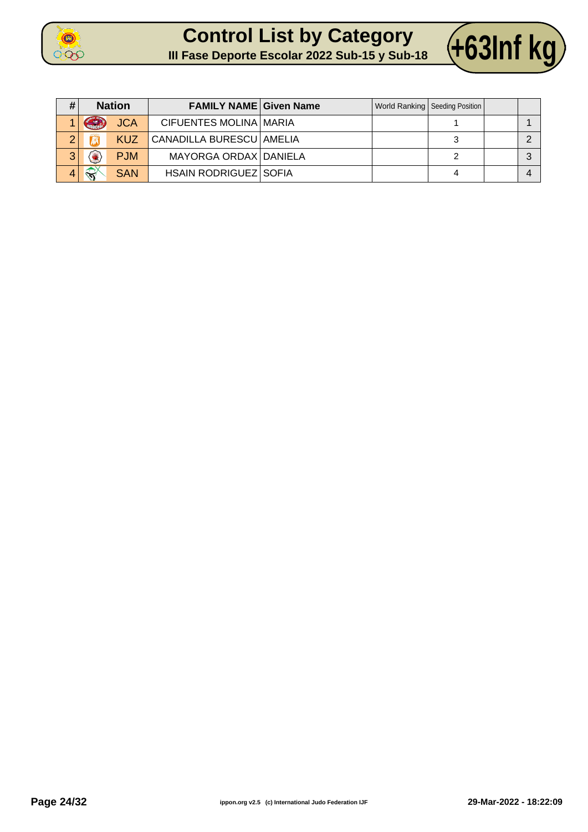



| #              | <b>Nation</b> |            | <b>FAMILY NAME Given Name</b> |  | World Ranking   Seeding Position |  |
|----------------|---------------|------------|-------------------------------|--|----------------------------------|--|
|                | G             | <b>JCA</b> | <b>CIFUENTES MOLINA MARIA</b> |  |                                  |  |
| $\overline{2}$ |               | <b>KUZ</b> | CANADILLA BURESCU AMELIA      |  |                                  |  |
| 3              |               | <b>PJM</b> | MAYORGA ORDAX DANIELA         |  |                                  |  |
|                | $\iff$        | <b>SAN</b> | <b>HSAIN RODRIGUEZ SOFIA</b>  |  |                                  |  |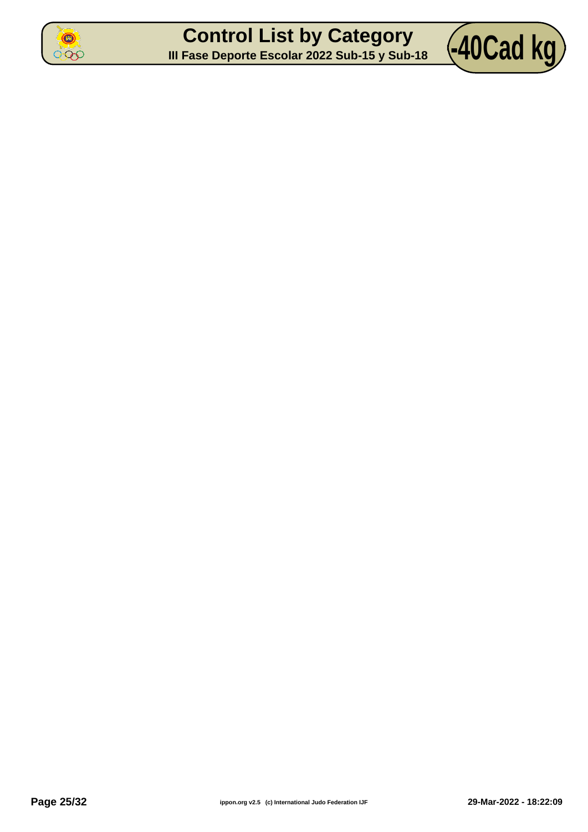

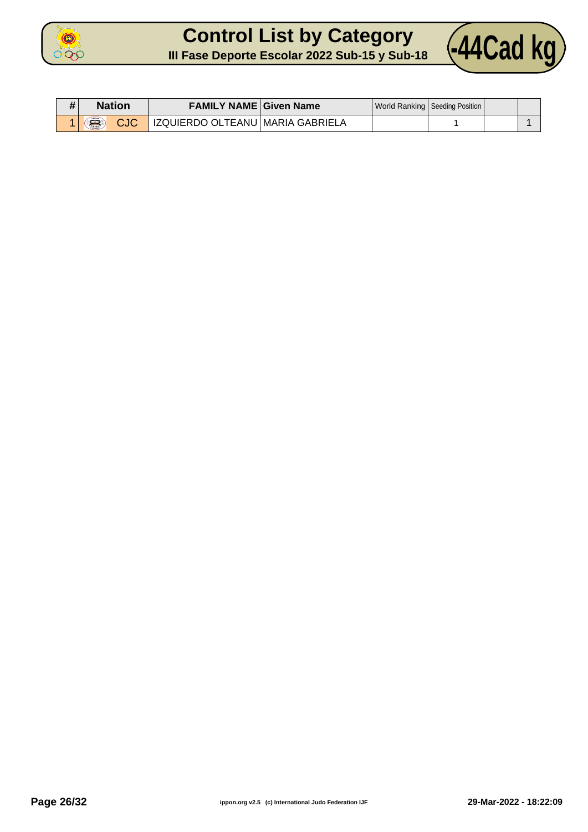

## **Control List by Category Control List by Category** (44Cad kg)



| Nation    | <b>FAMILY NAME Given Name</b>    |  | World Ranking   Seeding Position |  |
|-----------|----------------------------------|--|----------------------------------|--|
| Â,<br>CJC | IZQUIERDO OLTEANU MARIA GABRIELA |  |                                  |  |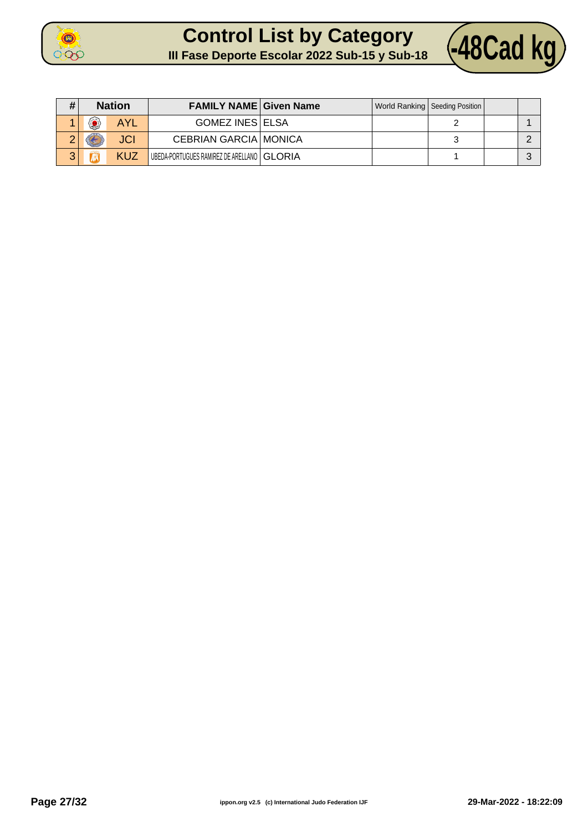

## **Control List by Category Control List by Category 48Cad kg**



| #            | <b>Nation</b>    |            | <b>FAMILY NAME Given Name</b>                |  | World Ranking Seeding Position |  |
|--------------|------------------|------------|----------------------------------------------|--|--------------------------------|--|
|              | 歴<br><b>Karl</b> | <b>AYL</b> | <b>GOMEZ INES ELSA</b>                       |  |                                |  |
| ←            |                  | <b>JCI</b> | <b>CEBRIAN GARCIA MONICA</b>                 |  |                                |  |
| $\mathbf{a}$ |                  | KUZ        | UBEDA-PORTUGUES RAMIREZ DE ARELLANO   GLORIA |  |                                |  |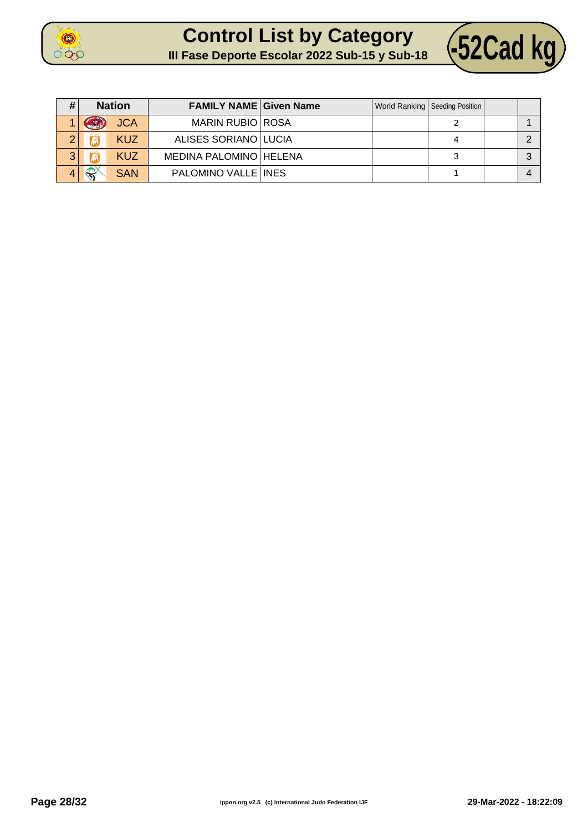



| # | <b>Nation</b>     |            | <b>FAMILY NAME Given Name</b> |  | World Ranking   Seeding Position |  |
|---|-------------------|------------|-------------------------------|--|----------------------------------|--|
|   | Grand             | <b>JCA</b> | <b>MARIN RUBIO ROSA</b>       |  |                                  |  |
| ◠ |                   | <b>KUZ</b> | ALISES SORIANO LUCIA          |  |                                  |  |
| 3 |                   | <b>KUZ</b> | MEDINA PALOMINO   HELENA      |  |                                  |  |
|   | $\leftrightarrow$ | <b>SAN</b> | PALOMINO VALLE INES           |  |                                  |  |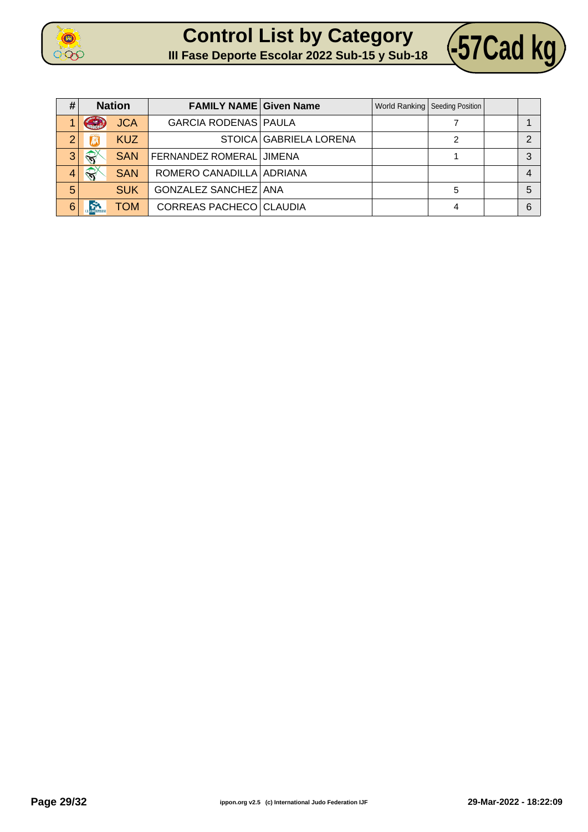





| #              | <b>Nation</b>          |            | <b>FAMILY NAME Given Name</b>  |                        | World Ranking   Seeding Position |   |
|----------------|------------------------|------------|--------------------------------|------------------------|----------------------------------|---|
|                | <b>Change</b>          | <b>JCA</b> | <b>GARCIA RODENAS PAULA</b>    |                        |                                  |   |
| $\overline{2}$ |                        | <b>KUZ</b> |                                | STOICA GABRIELA LORENA |                                  | ⌒ |
| 3 <sub>l</sub> | $\widehat{\mathbf{N}}$ | <b>SAN</b> | FERNANDEZ ROMERAL JIMENA       |                        |                                  |   |
| $\overline{4}$ | $\mathbb{R}^2$         | <b>SAN</b> | ROMERO CANADILLA ADRIANA       |                        |                                  | 4 |
| 5              |                        | <b>SUK</b> | <b>GONZALEZ SANCHEZ ANA</b>    |                        | 5                                | 5 |
| $6\phantom{1}$ | <b>R</b>               | <b>TOM</b> | <b>CORREAS PACHECO CLAUDIA</b> |                        | 4                                | 6 |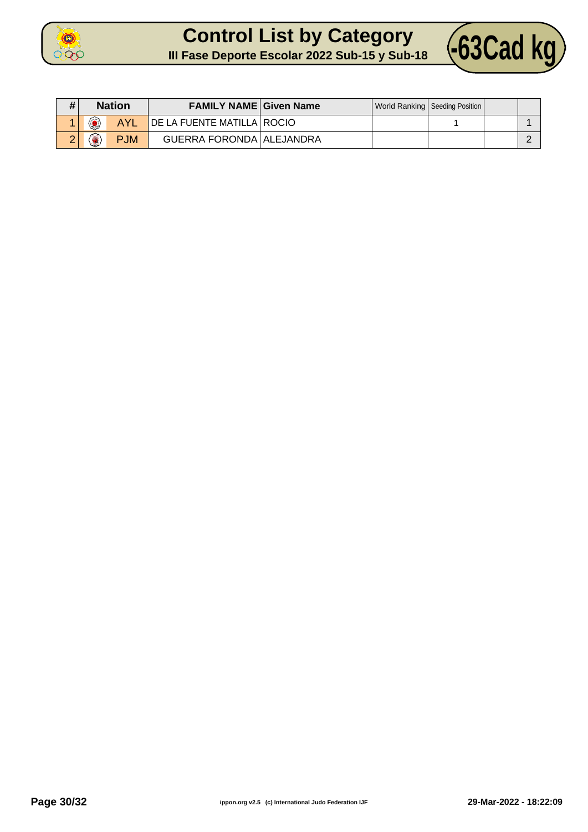

## **Control List by Category Control List by Category 463Cad kg**



| # | <b>Nation</b> |            | <b>FAMILY NAME Given Name</b> |  | World Ranking   Seeding Position |  |
|---|---------------|------------|-------------------------------|--|----------------------------------|--|
|   | $\mathcal{L}$ | <b>AYL</b> | DE LA FUENTE MATILLA ROCIO    |  |                                  |  |
|   |               | <b>PJM</b> | GUERRA FORONDA ALEJANDRA      |  |                                  |  |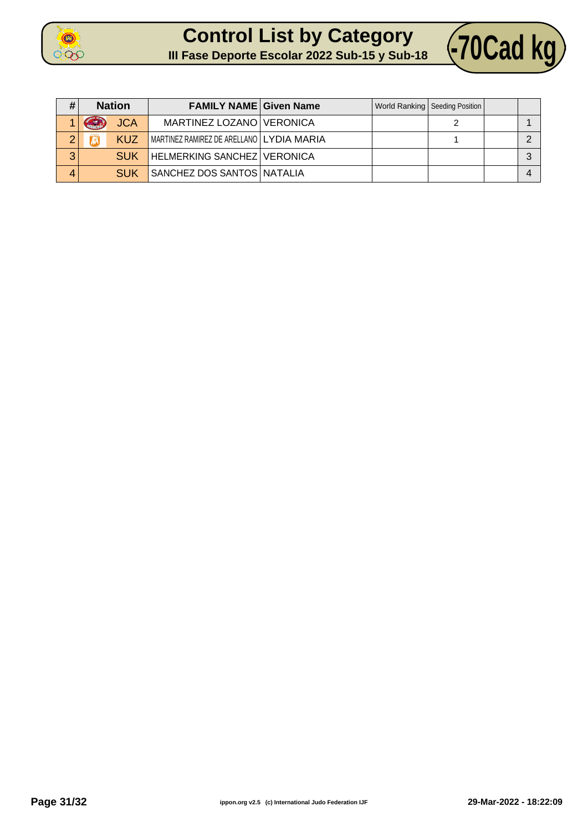



| # | <b>Nation</b>                   | <b>FAMILY NAME Given Name</b>              |  | World Ranking   Seeding Position |  |
|---|---------------------------------|--------------------------------------------|--|----------------------------------|--|
|   | <b>JCA</b><br><b>COLLEGE DE</b> | MARTINEZ LOZANO VERONICA                   |  |                                  |  |
| ⌒ | KUZ                             | MARTINEZ RAMIREZ DE ARELLANO   LYDIA MARIA |  |                                  |  |
| 3 | <b>SUK</b>                      | <b>HELMERKING SANCHEZ VERONICA</b>         |  |                                  |  |
| 4 | <b>SUK</b>                      | SANCHEZ DOS SANTOS NATALIA                 |  |                                  |  |